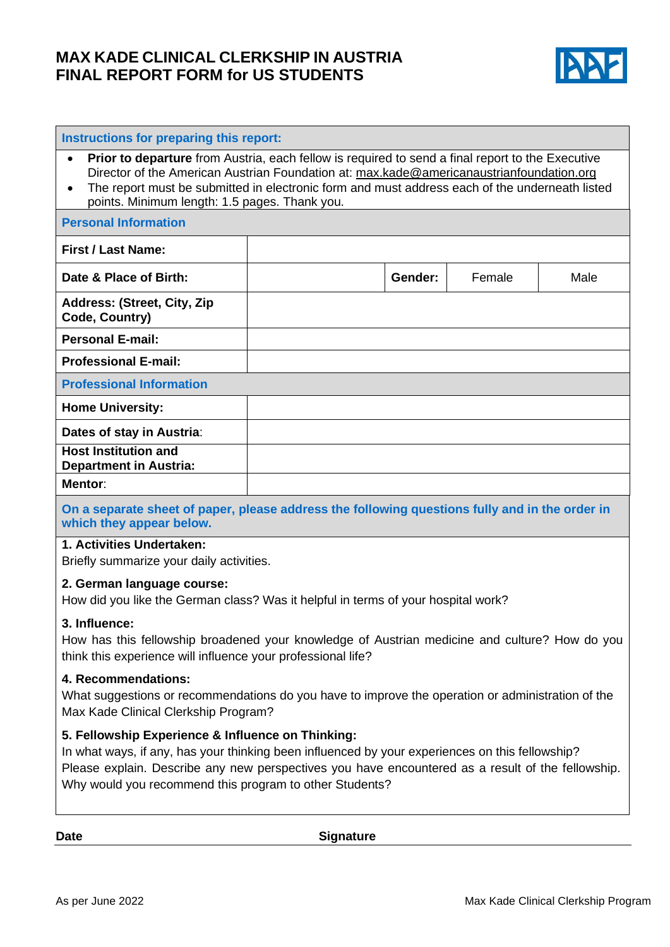## **MAX KADE CLINICAL CLERKSHIP IN AUSTRIA FINAL REPORT FORM for US STUDENTS**



| Instructions for preparing this report:                                                                                                                                                                                                                                                                                                                                          |  |         |        |      |
|----------------------------------------------------------------------------------------------------------------------------------------------------------------------------------------------------------------------------------------------------------------------------------------------------------------------------------------------------------------------------------|--|---------|--------|------|
| <b>Prior to departure</b> from Austria, each fellow is required to send a final report to the Executive<br>$\bullet$<br>Director of the American Austrian Foundation at: max.kade@americanaustrianfoundation.org<br>The report must be submitted in electronic form and must address each of the underneath listed<br>$\bullet$<br>points. Minimum length: 1.5 pages. Thank you. |  |         |        |      |
| <b>Personal Information</b>                                                                                                                                                                                                                                                                                                                                                      |  |         |        |      |
| <b>First / Last Name:</b>                                                                                                                                                                                                                                                                                                                                                        |  |         |        |      |
| Date & Place of Birth:                                                                                                                                                                                                                                                                                                                                                           |  | Gender: | Female | Male |
| Address: (Street, City, Zip<br>Code, Country)                                                                                                                                                                                                                                                                                                                                    |  |         |        |      |
| <b>Personal E-mail:</b>                                                                                                                                                                                                                                                                                                                                                          |  |         |        |      |
| <b>Professional E-mail:</b>                                                                                                                                                                                                                                                                                                                                                      |  |         |        |      |
| <b>Professional Information</b>                                                                                                                                                                                                                                                                                                                                                  |  |         |        |      |
| <b>Home University:</b>                                                                                                                                                                                                                                                                                                                                                          |  |         |        |      |
| Dates of stay in Austria:                                                                                                                                                                                                                                                                                                                                                        |  |         |        |      |
| <b>Host Institution and</b><br><b>Department in Austria:</b>                                                                                                                                                                                                                                                                                                                     |  |         |        |      |
| Mentor:                                                                                                                                                                                                                                                                                                                                                                          |  |         |        |      |
| On a separate sheet of paper, please address the following questions fully and in the order in                                                                                                                                                                                                                                                                                   |  |         |        |      |

**which they appear below.**

#### **1. Activities Undertaken:**

Briefly summarize your daily activities.

#### **2. German language course:**

How did you like the German class? Was it helpful in terms of your hospital work?

#### **3. Influence:**

How has this fellowship broadened your knowledge of Austrian medicine and culture? How do you think this experience will influence your professional life?

## **4. Recommendations:**

What suggestions or recommendations do you have to improve the operation or administration of the Max Kade Clinical Clerkship Program?

### **5. Fellowship Experience & Influence on Thinking:**

In what ways, if any, has your thinking been influenced by your experiences on this fellowship? Please explain. Describe any new perspectives you have encountered as a result of the fellowship. Why would you recommend this program to other Students?

Date Signature